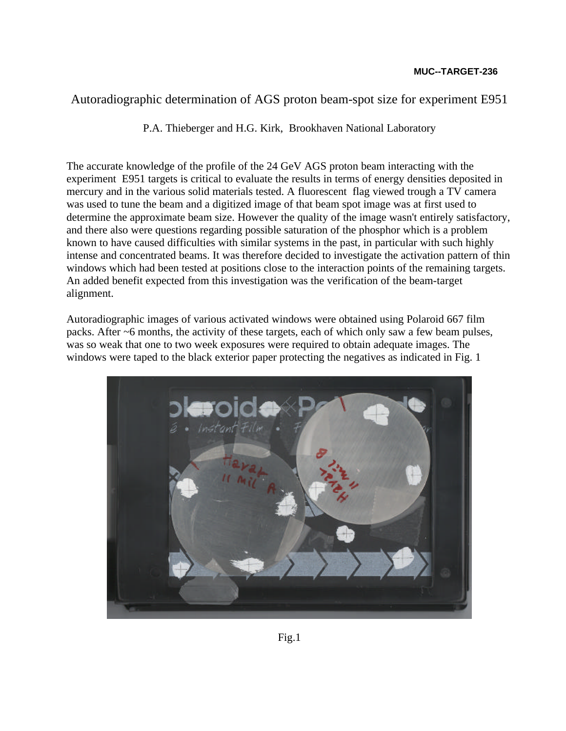## Autoradiographic determination of AGS proton beam-spot size for experiment E951

P.A. Thieberger and H.G. Kirk, Brookhaven National Laboratory

The accurate knowledge of the profile of the 24 GeV AGS proton beam interacting with the experiment E951 targets is critical to evaluate the results in terms of energy densities deposited in mercury and in the various solid materials tested. A fluorescent flag viewed trough a TV camera was used to tune the beam and a digitized image of that beam spot image was at first used to determine the approximate beam size. However the quality of the image wasn't entirely satisfactory, and there also were questions regarding possible saturation of the phosphor which is a problem known to have caused difficulties with similar systems in the past, in particular with such highly intense and concentrated beams. It was therefore decided to investigate the activation pattern of thin windows which had been tested at positions close to the interaction points of the remaining targets. An added benefit expected from this investigation was the verification of the beam-target alignment.

Autoradiographic images of various activated windows were obtained using Polaroid 667 film packs. After ~6 months, the activity of these targets, each of which only saw a few beam pulses, was so weak that one to two week exposures were required to obtain adequate images. The windows were taped to the black exterior paper protecting the negatives as indicated in Fig. 1

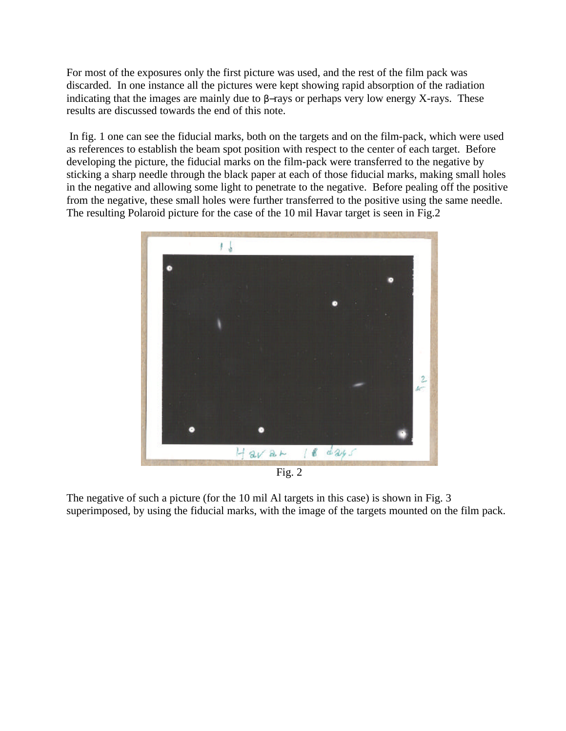For most of the exposures only the first picture was used, and the rest of the film pack was discarded. In one instance all the pictures were kept showing rapid absorption of the radiation indicating that the images are mainly due to β−rays or perhaps very low energy X-rays. These results are discussed towards the end of this note.

 In fig. 1 one can see the fiducial marks, both on the targets and on the film-pack, which were used as references to establish the beam spot position with respect to the center of each target. Before developing the picture, the fiducial marks on the film-pack were transferred to the negative by sticking a sharp needle through the black paper at each of those fiducial marks, making small holes in the negative and allowing some light to penetrate to the negative. Before pealing off the positive from the negative, these small holes were further transferred to the positive using the same needle. The resulting Polaroid picture for the case of the 10 mil Havar target is seen in Fig.2



Fig. 2

The negative of such a picture (for the 10 mil Al targets in this case) is shown in Fig. 3 superimposed, by using the fiducial marks, with the image of the targets mounted on the film pack.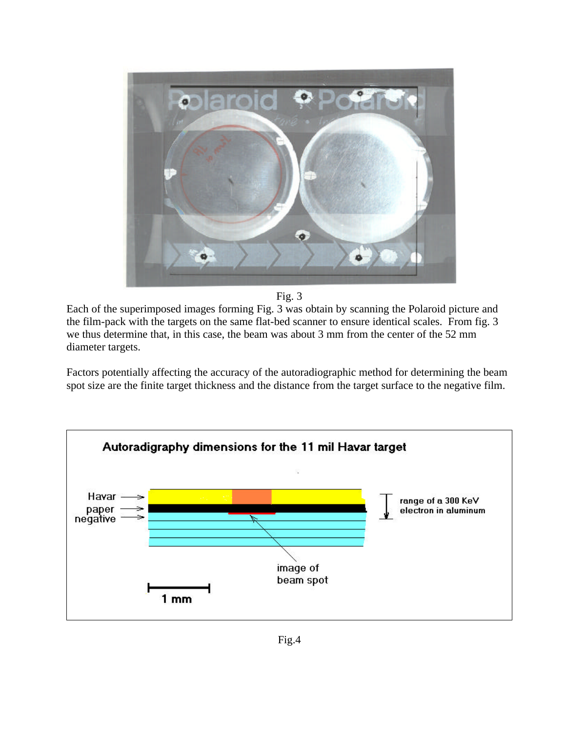

Fig. 3

Each of the superimposed images forming Fig. 3 was obtain by scanning the Polaroid picture and the film-pack with the targets on the same flat-bed scanner to ensure identical scales. From fig. 3 we thus determine that, in this case, the beam was about 3 mm from the center of the 52 mm diameter targets.

Factors potentially affecting the accuracy of the autoradiographic method for determining the beam spot size are the finite target thickness and the distance from the target surface to the negative film.



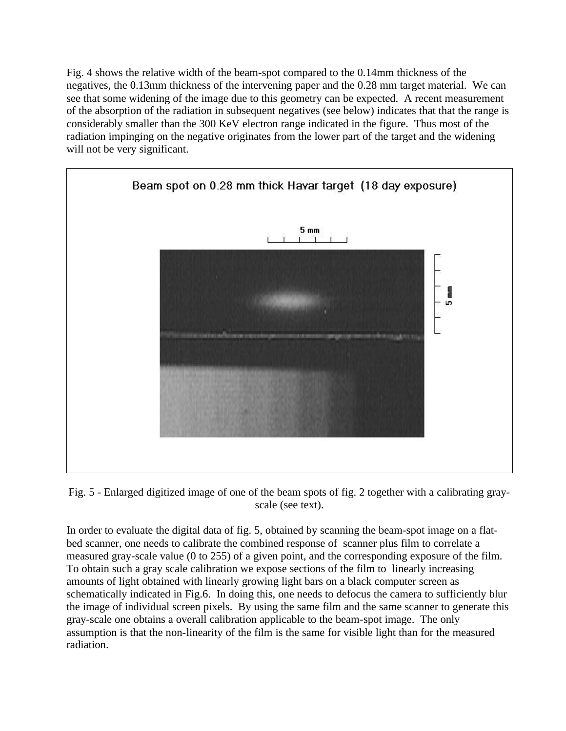Fig. 4 shows the relative width of the beam-spot compared to the 0.14mm thickness of the negatives, the 0.13mm thickness of the intervening paper and the 0.28 mm target material. We can see that some widening of the image due to this geometry can be expected. A recent measurement of the absorption of the radiation in subsequent negatives (see below) indicates that that the range is considerably smaller than the 300 KeV electron range indicated in the figure. Thus most of the radiation impinging on the negative originates from the lower part of the target and the widening will not be very significant.



Fig. 5 - Enlarged digitized image of one of the beam spots of fig. 2 together with a calibrating grayscale (see text).

In order to evaluate the digital data of fig. 5, obtained by scanning the beam-spot image on a flatbed scanner, one needs to calibrate the combined response of scanner plus film to correlate a measured gray-scale value (0 to 255) of a given point, and the corresponding exposure of the film. To obtain such a gray scale calibration we expose sections of the film to linearly increasing amounts of light obtained with linearly growing light bars on a black computer screen as schematically indicated in Fig.6. In doing this, one needs to defocus the camera to sufficiently blur the image of individual screen pixels. By using the same film and the same scanner to generate this gray-scale one obtains a overall calibration applicable to the beam-spot image. The only assumption is that the non-linearity of the film is the same for visible light than for the measured radiation.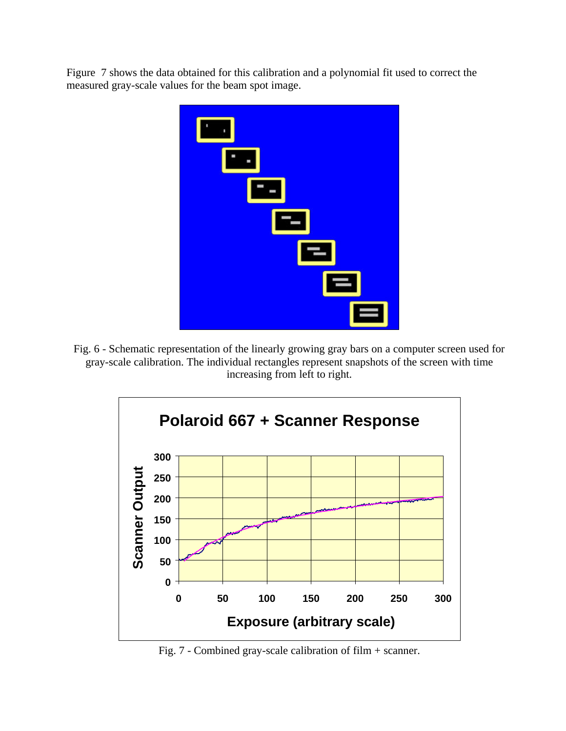Figure 7 shows the data obtained for this calibration and a polynomial fit used to correct the measured gray-scale values for the beam spot image.



Fig. 6 - Schematic representation of the linearly growing gray bars on a computer screen used for gray-scale calibration. The individual rectangles represent snapshots of the screen with time increasing from left to right.



Fig. 7 - Combined gray-scale calibration of film + scanner.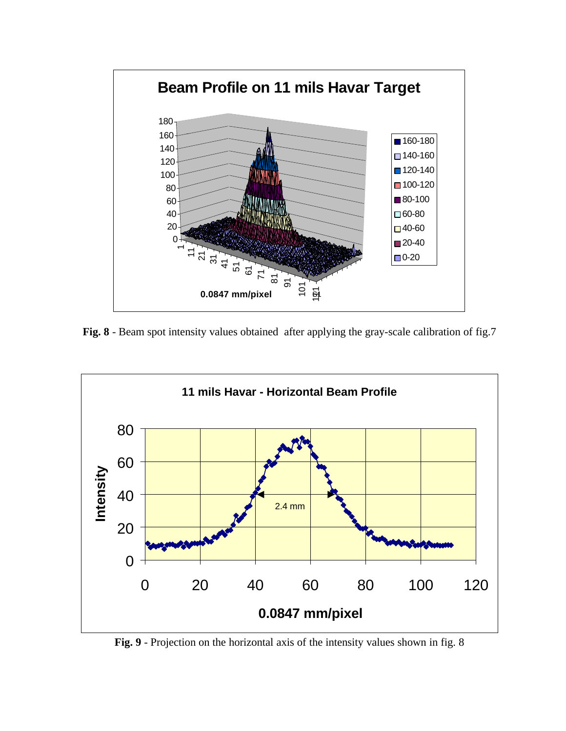

**Fig. 8** - Beam spot intensity values obtained after applying the gray-scale calibration of fig.7



**Fig. 9** - Projection on the horizontal axis of the intensity values shown in fig. 8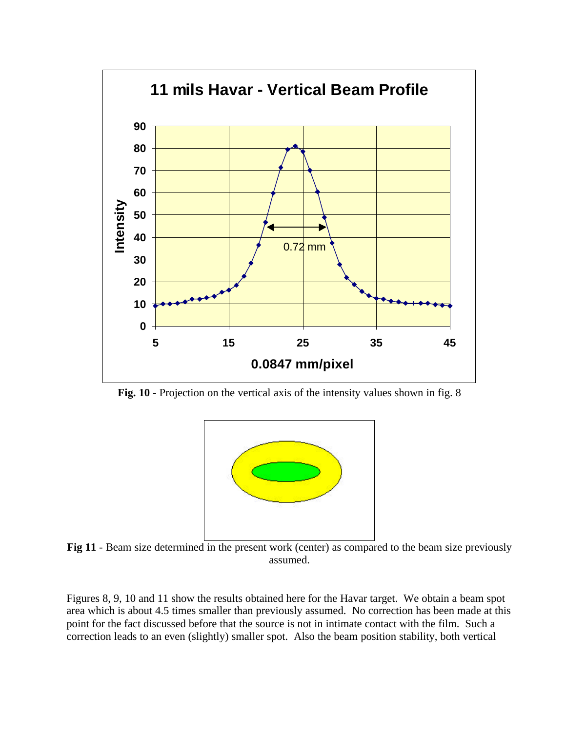

**Fig. 10** - Projection on the vertical axis of the intensity values shown in fig. 8



**Fig 11** - Beam size determined in the present work (center) as compared to the beam size previously assumed.

Figures 8, 9, 10 and 11 show the results obtained here for the Havar target. We obtain a beam spot area which is about 4.5 times smaller than previously assumed. No correction has been made at this point for the fact discussed before that the source is not in intimate contact with the film. Such a correction leads to an even (slightly) smaller spot. Also the beam position stability, both vertical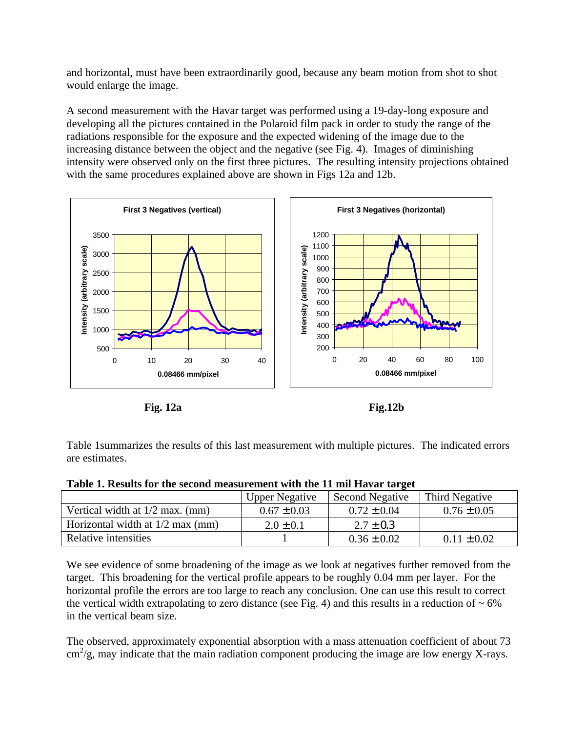and horizontal, must have been extraordinarily good, because any beam motion from shot to shot would enlarge the image.

A second measurement with the Havar target was performed using a 19-day-long exposure and developing all the pictures contained in the Polaroid film pack in order to study the range of the radiations responsible for the exposure and the expected widening of the image due to the increasing distance between the object and the negative (see Fig. 4). Images of diminishing intensity were observed only on the first three pictures. The resulting intensity projections obtained with the same procedures explained above are shown in Figs 12a and 12b.



**Fig. 12a Fig.12b**

Table 1summarizes the results of this last measurement with multiple pictures. The indicated errors are estimates.

| Table 1. Results for the second measurement with the 11 mil Havar target |  |  |  |
|--------------------------------------------------------------------------|--|--|--|
|                                                                          |  |  |  |

|                                    | <b>Upper Negative</b> | <b>Second Negative</b> | Third Negative  |
|------------------------------------|-----------------------|------------------------|-----------------|
| Vertical width at $1/2$ max. (mm)  | $0.67 \pm 0.03$       | $0.72 \pm 0.04$        | $0.76 \pm 0.05$ |
| Horizontal width at $1/2$ max (mm) | $2.0 \pm 0.1$         | $2.7 \pm 0.3$          |                 |
| Relative intensities               |                       | $0.36 \pm 0.02$        | $0.11 \pm 0.02$ |

We see evidence of some broadening of the image as we look at negatives further removed from the target. This broadening for the vertical profile appears to be roughly 0.04 mm per layer. For the horizontal profile the errors are too large to reach any conclusion. One can use this result to correct the vertical width extrapolating to zero distance (see Fig. 4) and this results in a reduction of  $\sim 6\%$ in the vertical beam size.

The observed, approximately exponential absorption with a mass attenuation coefficient of about 73 cm<sup>2</sup>/g, may indicate that the main radiation component producing the image are low energy X-rays.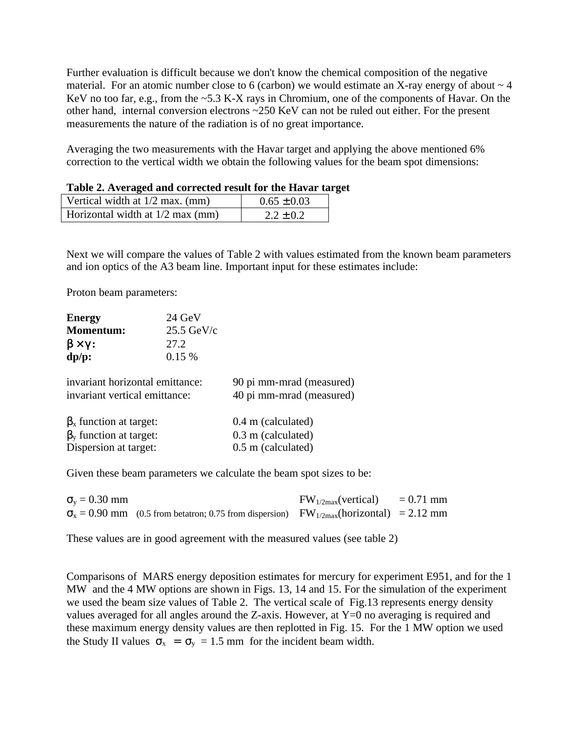Further evaluation is difficult because we don't know the chemical composition of the negative material. For an atomic number close to 6 (carbon) we would estimate an X-ray energy of about  $\sim$  4 KeV no too far, e.g., from the ~5.3 K-X rays in Chromium, one of the components of Havar. On the other hand, internal conversion electrons ~250 KeV can not be ruled out either. For the present measurements the nature of the radiation is of no great importance.

Averaging the two measurements with the Havar target and applying the above mentioned 6% correction to the vertical width we obtain the following values for the beam spot dimensions:

| TWOTO SETTLY CENSOU WHU COLLOUDED FOUND TOL THE THE TWI THE |                 |
|-------------------------------------------------------------|-----------------|
| Vertical width at $1/2$ max. (mm)                           | $0.65 \pm 0.03$ |
| Horizontal width at 1/2 max (mm)                            | $2.2 \pm 0.2$   |

Next we will compare the values of Table 2 with values estimated from the known beam parameters and ion optics of the A3 beam line. Important input for these estimates include:

Proton beam parameters:

| <b>Energy</b><br><b>Momentum:</b><br>$\beta \times \gamma$ :<br>$dp/p$ :                    | 24 GeV<br>$25.5 \text{ GeV/c}$<br>27.2<br>0.15% |                                                                |
|---------------------------------------------------------------------------------------------|-------------------------------------------------|----------------------------------------------------------------|
| invariant horizontal emittance:<br>invariant vertical emittance:                            |                                                 | 90 pi mm-mrad (measured)<br>40 pi mm-mrad (measured)           |
| $\beta_{x}$ function at target:<br>$\beta_{v}$ function at target:<br>Dispersion at target: |                                                 | 0.4 m (calculated)<br>0.3 m (calculated)<br>0.5 m (calculated) |

Given these beam parameters we calculate the beam spot sizes to be:

| $\sigma_v = 0.30$ mm |                                                                                                                  | $FW_{1/2max}(vertical) = 0.71$ mm |  |
|----------------------|------------------------------------------------------------------------------------------------------------------|-----------------------------------|--|
|                      | $\sigma_{\rm x} = 0.90$ mm (0.5 from betatron; 0.75 from dispersion) FW <sub>1/2max</sub> (horizontal) = 2.12 mm |                                   |  |

These values are in good agreement with the measured values (see table 2)

Comparisons of MARS energy deposition estimates for mercury for experiment E951, and for the 1 MW and the 4 MW options are shown in Figs. 13, 14 and 15. For the simulation of the experiment we used the beam size values of Table 2. The vertical scale of Fig.13 represents energy density values averaged for all angles around the Z-axis. However, at  $Y=0$  no averaging is required and these maximum energy density values are then replotted in Fig. 15. For the 1 MW option we used the Study II values  $\sigma_x = \sigma_y = 1.5$  mm for the incident beam width.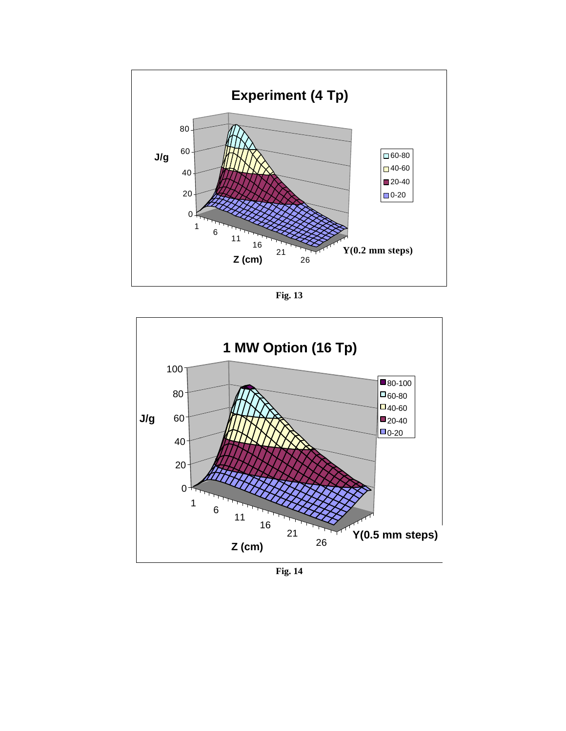

**Fig. 13**



**Fig. 14**